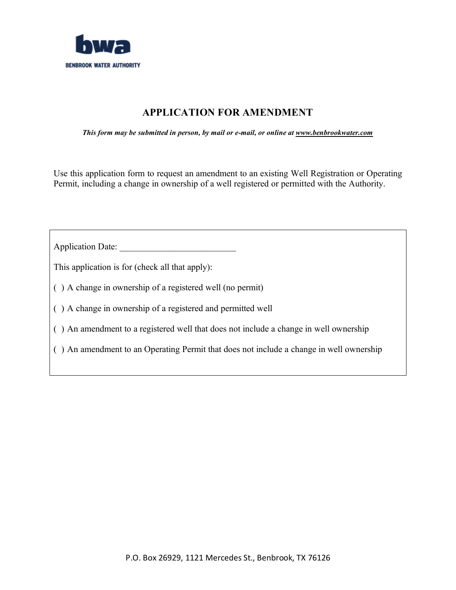

# **APPLICATION FOR AMENDMENT**

*This form may be submitted in person, by mail or e-mail, or online at www.benbrookwater.com*

Use this application form to request an amendment to an existing Well Registration or Operating Permit, including a change in ownership of a well registered or permitted with the Authority.

| <b>Application Date:</b>                                                                |
|-----------------------------------------------------------------------------------------|
| This application is for (check all that apply):                                         |
| () A change in ownership of a registered well (no permit)                               |
| () A change in ownership of a registered and permitted well                             |
| () An amendment to a registered well that does not include a change in well ownership   |
| () An amendment to an Operating Permit that does not include a change in well ownership |
|                                                                                         |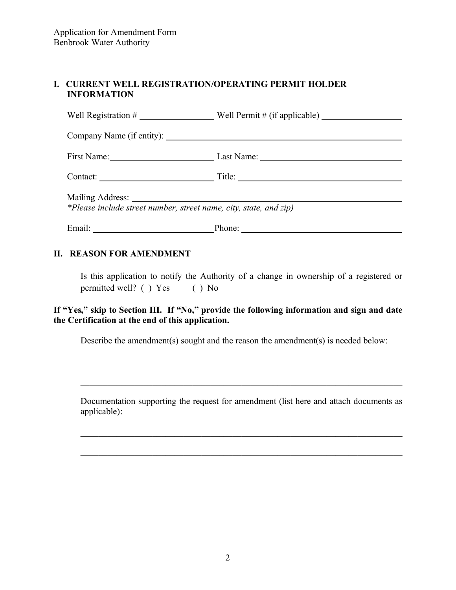# **I. CURRENT WELL REGISTRATION/OPERATING PERMIT HOLDER INFORMATION**

| First Name: Last Name: Last Name:                                 |  |
|-------------------------------------------------------------------|--|
| Title: $\qquad \qquad$                                            |  |
| *Please include street number, street name, city, state, and zip) |  |
|                                                                   |  |

## **II. REASON FOR AMENDMENT**

Is this application to notify the Authority of a change in ownership of a registered or permitted well? ( ) Yes ( ) No

# **If "Yes," skip to Section III. If "No," provide the following information and sign and date the Certification at the end of this application.**

Describe the amendment(s) sought and the reason the amendment(s) is needed below:

Documentation supporting the request for amendment (list here and attach documents as applicable):

\_\_\_\_\_\_\_\_\_\_\_\_\_\_\_\_\_\_\_\_\_\_\_\_\_\_\_\_\_\_\_\_\_\_\_\_\_\_\_\_\_\_\_\_\_\_\_\_\_\_\_\_\_\_\_\_\_\_\_\_\_\_\_\_\_\_\_\_\_\_\_\_

\_\_\_\_\_\_\_\_\_\_\_\_\_\_\_\_\_\_\_\_\_\_\_\_\_\_\_\_\_\_\_\_\_\_\_\_\_\_\_\_\_\_\_\_\_\_\_\_\_\_\_\_\_\_\_\_\_\_\_\_\_\_\_\_\_\_\_\_\_\_\_\_

\_\_\_\_\_\_\_\_\_\_\_\_\_\_\_\_\_\_\_\_\_\_\_\_\_\_\_\_\_\_\_\_\_\_\_\_\_\_\_\_\_\_\_\_\_\_\_\_\_\_\_\_\_\_\_\_\_\_\_\_\_\_\_\_\_\_\_\_\_\_\_\_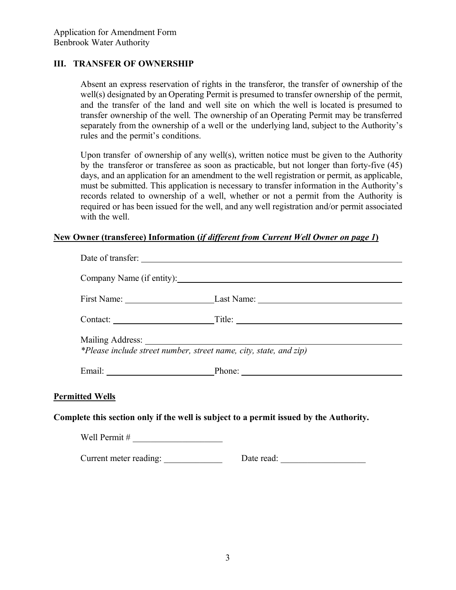#### **III. TRANSFER OF OWNERSHIP**

Absent an express reservation of rights in the transferor, the transfer of ownership of the well(s) designated by an Operating Permit is presumed to transfer ownership of the permit, and the transfer of the land and well site on which the well is located is presumed to transfer ownership of the well. The ownership of an Operating Permit may be transferred separately from the ownership of a well or the underlying land, subject to the Authority's rules and the permit's conditions.

Upon transfer of ownership of any well(s), written notice must be given to the Authority by the transferor or transferee as soon as practicable, but not longer than forty-five (45) days, and an application for an amendment to the well registration or permit, as applicable, must be submitted. This application is necessary to transfer information in the Authority's records related to ownership of a well, whether or not a permit from the Authority is required or has been issued for the well, and any well registration and/or permit associated with the well.

#### **New Owner (transferee) Information (***if different from Current Well Owner on page 1***)**

|                        | Company Name (if entity):                                                                                                                                                                                                      |
|------------------------|--------------------------------------------------------------------------------------------------------------------------------------------------------------------------------------------------------------------------------|
|                        | First Name: Last Name: Last Name:                                                                                                                                                                                              |
|                        |                                                                                                                                                                                                                                |
|                        |                                                                                                                                                                                                                                |
|                        | *Please include street number, street name, city, state, and zip)                                                                                                                                                              |
|                        | Email: Phone: Phone: Phone: Phone: Phone: Phone: Phone: Phone: Phone: Phone: Phone: Phone: Phone: Phone: Phone: Phone: Phone: Phone: Phone: Phone: Phone: Phone: Phone: Phone: Phone: Phone: Phone: Phone: Phone: Phone: Phone |
| <b>Permitted Wells</b> |                                                                                                                                                                                                                                |
|                        | Complete this section only if the well is subject to a permit issued by the Authority.                                                                                                                                         |
|                        |                                                                                                                                                                                                                                |
| Current meter reading: | Date read:                                                                                                                                                                                                                     |